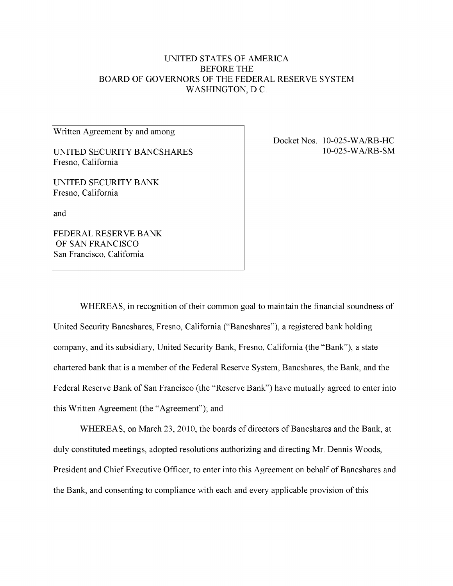# UNITED STATES OF AMERICA BEFORE THE BOARD OF GOVERNORS OF THE FEDERAL RESERVE SYSTEM WASHINGTON, D.C.

Written Agreement by and among

UNITED SECURITY BANCSHARES Fresno, California

UNITED SECURITY BANK Fresno, California

and

FEDERAL RESERVE BANK OF SAN FRANCISCO San Francisco, California

Docket Nos. 10-025-WA/RB-HC 10-025-WA/RB-SM

WHEREAS, in recognition of their common goal to maintain the financial soundness of United Security Bancshares, Fresno, California ("Bancshares"), a registered bank holding company, and its subsidiary, United Security Bank, Fresno, California (the "Bank"), a state chartered bank that is a member of the Federal Reserve System, Bancshares, the Bank, and the Federal Reserve Bank of San Francisco (the "Reserve Bank") have mutually agreed to enter into this Written Agreement (the "Agreement"); and

WHEREAS, on March 23, 2010, the boards of directors of Bancshares and the Bank, at duly constituted meetings, adopted resolutions authorizing and directing Mr. Dennis Woods, President and Chief Executive Officer, to enter into this Agreement on behalf of Bancshares and the Bank, and consenting to compliance with each and every applicable provision of this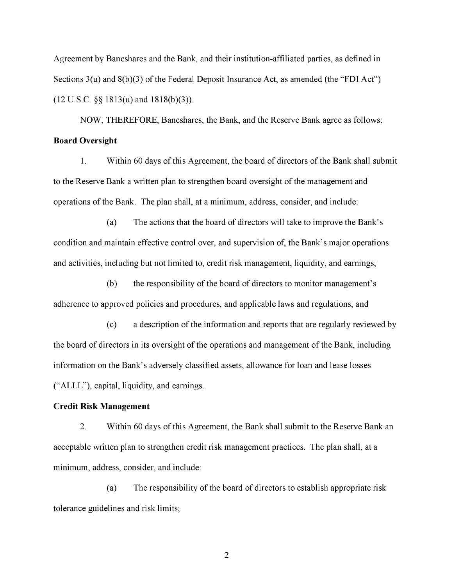Agreement by Bancshares and the Bank, and their institution-affiliated parties, as defined in Sections 3(u) and 8(b)(3) of the Federal Deposit Insurance Act, as amended (the "FDI Act") (12 U.S.C. §§ 1813(u) and 1818(b)(3)).

NOW, THEREFORE, Bancshares, the Bank, and the Reserve Bank agree as follows: **Board Oversight** 

1. Within 60 days of this Agreement, the board of directors of the Bank shall submit to the Reserve Bank a written plan to strengthen board oversight of the management and operations of the Bank. The plan shall, at a minimum, address, consider, and include:

(a) The actions that the board of directors will take to improve the Bank's condition and maintain effective control over, and supervision of, the Bank's major operations and activities, including but not limited to, credit risk management, liquidity, and earnings;

(b) the responsibility of the board of directors to monitor management's adherence to approved policies and procedures, and applicable laws and regulations; and

(c) a description of the information and reports that are regularly reviewed by the board of directors in its oversight of the operations and management of the Bank, including information on the Bank's adversely classified assets, allowance for loan and lease losses ("ALLL"), capital, liquidity, and earnings.

## **Credit Risk Management**

2. Within 60 days of this Agreement, the Bank shall submit to the Reserve Bank an acceptable written plan to strengthen credit risk management practices. The plan shall, at a minimum, address, consider, and include:

(a) The responsibility of the board of directors to establish appropriate risk tolerance guidelines and risk limits;

 $\overline{2}$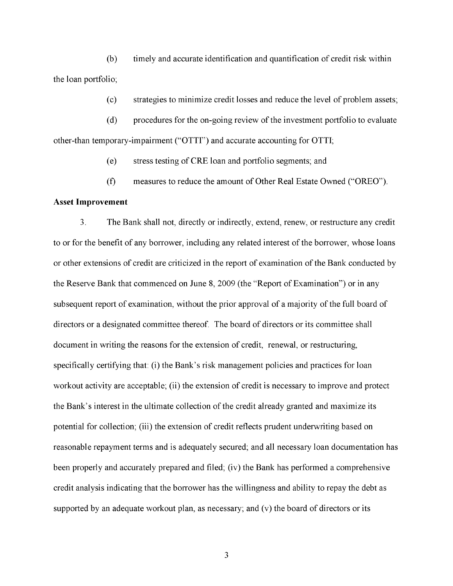(b) timely and accurate identification and quantification of credit risk within the loan portfolio;

(c) strategies to minimize credit losses and reduce the level of problem assets;

(d) procedures for the on-going review of the investment portfolio to evaluate other-than temporary-impairment ("OTTI") and accurate accounting for OTTI;

(e) stress testing of CRE loan and portfolio segments; and

(f) measures to reduce the amount of Other Real Estate Owned ("OREO").

#### **Asset Improvement**

3. The Bank shall not, directly or indirectly, extend, renew, or restructure any credit to or for the benefit of any borrower, including any related interest of the borrower, whose loans or other extensions of credit are criticized in the report of examination of the Bank conducted by the Reserve Bank that commenced on June 8, 2009 (the "Report of Examination") or in any subsequent report of examination, without the prior approval of a majority of the full board of directors or a designated committee thereof. The board of directors or its committee shall document in writing the reasons for the extension of credit, renewal, or restructuring, specifically certifying that: (i) the Bank's risk management policies and practices for loan workout activity are acceptable; (ii) the extension of credit is necessary to improve and protect the Bank's interest in the ultimate collection of the credit already granted and maximize its potential for collection; (iii) the extension of credit reflects prudent underwriting based on reasonable repayment terms and is adequately secured; and all necessary loan documentation has been properly and accurately prepared and filed; (iv) the Bank has performed a comprehensive credit analysis indicating that the borrower has the willingness and ability to repay the debt as supported by an adequate workout plan, as necessary; and (v) the board of directors or its

 $\overline{3}$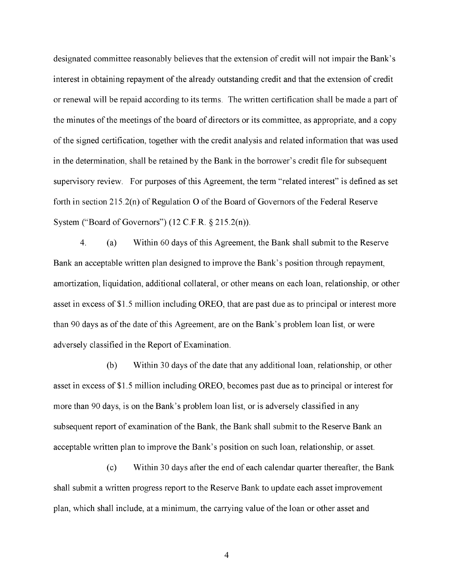designated committee reasonably believes that the extension of credit will not impair the Bank's interest in obtaining repayment of the already outstanding credit and that the extension of credit or renewal will be repaid according to its terms. The written certification shall be made a part of the minutes of the meetings of the board of directors or its committee, as appropriate, and a copy of the signed certification, together with the credit analysis and related information that was used in the determination, shall be retained by the Bank in the borrower's credit file for subsequent supervisory review. For purposes of this Agreement, the term "related interest" is defined as set forth in section 215.2(n) of Regulation O of the Board of Governors of the Federal Reserve System ("Board of Governors")  $(12 \text{ C.F.R. } § 215.2(n))$ .

4. (a) Within 60 days of this Agreement, the Bank shall submit to the Reserve Bank an acceptable written plan designed to improve the Bank's position through repayment, amortization, liquidation, additional collateral, or other means on each loan, relationship, or other asset in excess of \$1.5 million including OREO, that are past due as to principal or interest more than 90 days as of the date of this Agreement, are on the Bank's problem loan list, or were adversely classified in the Report of Examination.

(b) Within 30 days of the date that any additional loan, relationship, or other asset in excess of \$1.5 million including OREO, becomes past due as to principal or interest for more than 90 days, is on the Bank's problem loan list, or is adversely classified in any subsequent report of examination of the Bank, the Bank shall submit to the Reserve Bank an acceptable written plan to improve the Bank's position on such loan, relationship, or asset.

(c) Within 30 days after the end of each calendar quarter thereafter, the Bank shall submit a written progress report to the Reserve Bank to update each asset improvement plan, which shall include, at a minimum, the carrying value of the loan or other asset and

 $\overline{4}$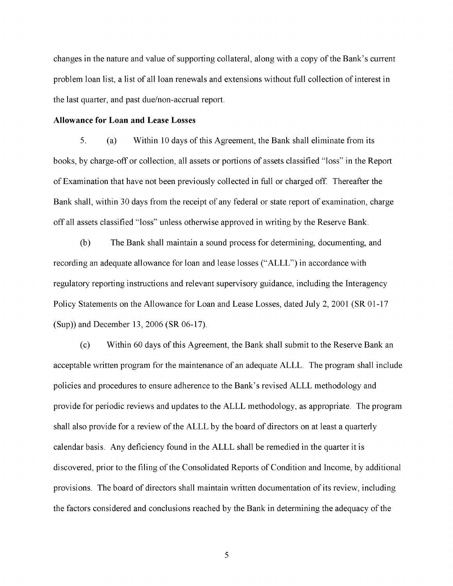changes in the nature and value of supporting collateral, along with a copy of the Bank's current problem loan list, a list of all loan renewals and extensions without full collection of interest in the last quarter, and past due/non-accrual report.

#### **Allowance for Loan and Lease Losses**

5. (a) Within 10 days of this Agreement, the Bank shall eliminate from its books, by charge-off or collection, all assets or portions of assets classified "loss" in the Report of Examination that have not been previously collected in full or charged off. Thereafter the Bank shall, within 30 days from the receipt of any federal or state report of examination, charge off all assets classified "loss" unless otherwise approved in writing by the Reserve Bank.

(b) The Bank shall maintain a sound process for determining, documenting, and recording an adequate allowance for loan and lease losses ("ALLL") in accordance with regulatory reporting instructions and relevant supervisory guidance, including the Interagency Policy Statements on the Allowance for Loan and Lease Losses, dated July 2, 2001 (SR 01-17 (Sup)) and December 13, 2006 (SR 06-17).

(c) Within 60 days of this Agreement, the Bank shall submit to the Reserve Bank an acceptable written program for the maintenance of an adequate ALLL. The program shall include policies and procedures to ensure adherence to the Bank's revised ALLL methodology and provide for periodic reviews and updates to the ALLL methodology, as appropriate. The program shall also provide for a review of the ALLL by the board of directors on at least a quarterly calendar basis. Any deficiency found in the ALLL shall be remedied in the quarter it is discovered, prior to the filing of the Consolidated Reports of Condition and Income, by additional provisions. The board of directors shall maintain written documentation of its review, including the factors considered and conclusions reached by the Bank in determining the adequacy of the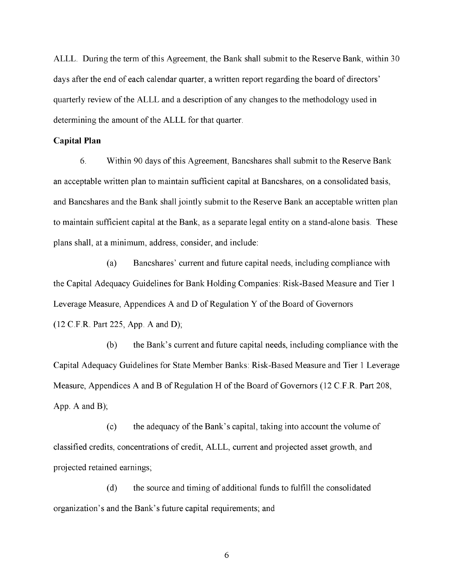ALLL. During the term of this Agreement, the Bank shall submit to the Reserve Bank, within 30 days after the end of each calendar quarter, a written report regarding the board of directors' quarterly review of the ALLL and a description of any changes to the methodology used in determining the amount of the ALLL for that quarter.

#### **Capital Plan**

6. Within 90 days of this Agreement, Bancshares shall submit to the Reserve Bank an acceptable written plan to maintain sufficient capital at Bancshares, on a consolidated basis, and Bancshares and the Bank shall jointly submit to the Reserve Bank an acceptable written plan to maintain sufficient capital at the Bank, as a separate legal entity on a stand-alone basis. These plans shall, at a minimum, address, consider, and include:

(a) Bancshares' current and future capital needs, including compliance with the Capital Adequacy Guidelines for Bank Holding Companies: Risk-Based Measure and Tier 1 Leverage Measure, Appendices A and D of Regulation Y of the Board of Governors (12 C.F.R. Part 225, App. A and D);

(b) the Bank's current and future capital needs, including compliance with the Capital Adequacy Guidelines for State Member Banks: Risk-Based Measure and Tier 1 Leverage Measure, Appendices A and B of Regulation H of the Board of Governors (12 C.F.R. Part 208, App. A and B);

(c) the adequacy of the Bank's capital, taking into account the volume of classified credits, concentrations of credit, ALLL, current and projected asset growth, and projected retained earnings;

(d) the source and timing of additional funds to fulfill the consolidated organization's and the Bank's future capital requirements; and

Page 6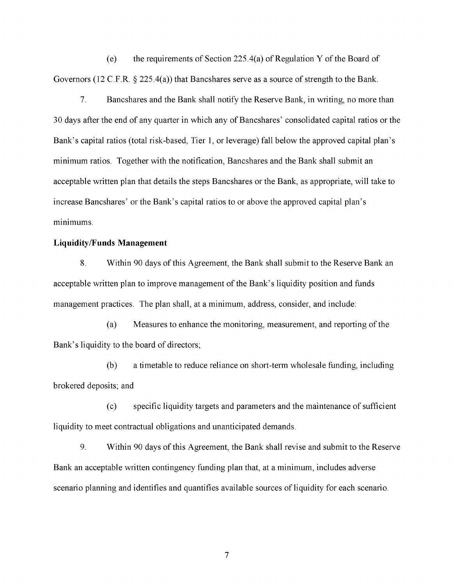(e) the requirements of Section 225.4(a) of Regulation Y of the Board of Governors (12 C.F.R. § 225.4(a)) that Bancshares serve as a source of strength to the Bank.

7. Bancshares and the Bank shall notify the Reserve Bank, in writing, no more than 30 days after the end of any quarter in which any of Bancshares' consolidated capital ratios or the Bank's capital ratios (total risk-based, Tier 1, or leverage) fall below the approved capital plan's minimum ratios. Together with the notification, Bancshares and the Bank shall submit an acceptable written plan that details the steps Bancshares or the Bank, as appropriate, will take to increase Bancshares' or the Bank's capital ratios to or above the approved capital plan's minimums.

## **Liquidity/Funds Management**

8. Within 90 days of this Agreement, the Bank shall submit to the Reserve Bank an acceptable written plan to improve management of the Bank's liquidity position and funds management practices. The plan shall, at a minimum, address, consider, and include:

(a) Measures to enhance the monitoring, measurement, and reporting of the Bank's liquidity to the board of directors;

(b) a timetable to reduce reliance on short-term wholesale funding, including brokered deposits; and

(c) specific liquidity targets and parameters and the maintenance of sufficient liquidity to meet contractual obligations and unanticipated demands.

9. Within 90 days of this Agreement, the Bank shall revise and submit to the Reserve Bank an acceptable written contingency funding plan that, at a minimum, includes adverse scenario planning and identifies and quantifies available sources of liquidity for each scenario.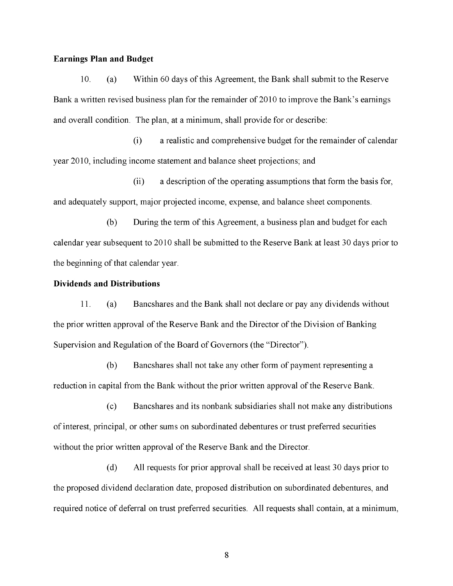### **Earnings Plan and Budget**

10. (a) Within 60 days of this Agreement, the Bank shall submit to the Reserve Bank a written revised business plan for the remainder of 2010 to improve the Bank's earnings and overall condition. The plan, at a minimum, shall provide for or describe:

(i) a realistic and comprehensive budget for the remainder of calendar year 2010, including income statement and balance sheet projections; and

(ii) a description of the operating assumptions that form the basis for, and adequately support, major projected income, expense, and balance sheet components.

(b) During the term of this Agreement, a business plan and budget for each calendar year subsequent to 2010 shall be submitted to the Reserve Bank at least 30 days prior to the beginning of that calendar year.

### **Dividends and Distributions**

11. (a) Bancshares and the Bank shall not declare or pay any dividends without the prior written approval of the Reserve Bank and the Director of the Division of Banking Supervision and Regulation of the Board of Governors (the "Director").

(b) Bancshares shall not take any other form of payment representing a reduction in capital from the Bank without the prior written approval of the Reserve Bank.

(c) Bancshares and its nonbank subsidiaries shall not make any distributions of interest, principal, or other sums on subordinated debentures or trust preferred securities without the prior written approval of the Reserve Bank and the Director.

(d) All requests for prior approval shall be received at least 30 days prior to the proposed dividend declaration date, proposed distribution on subordinated debentures, and required notice of deferral on trust preferred securities. All requests shall contain, at a minimum,

Page 8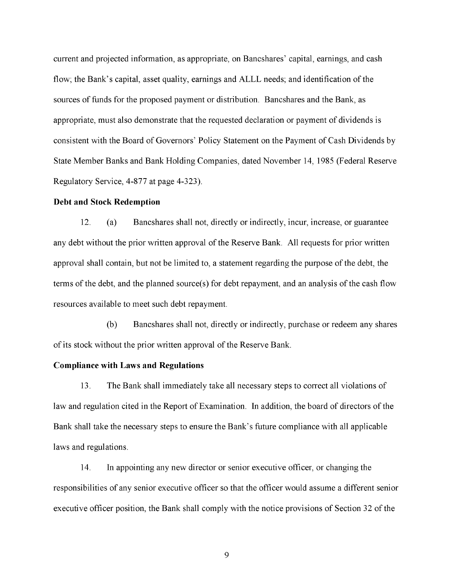current and projected information, as appropriate, on Bancshares' capital, earnings, and cash flow; the Bank's capital, asset quality, earnings and ALLL needs; and identification of the sources of funds for the proposed payment or distribution. Bancshares and the Bank, as appropriate, must also demonstrate that the requested declaration or payment of dividends is consistent with the Board of Governors' Policy Statement on the Payment of Cash Dividends by State Member Banks and Bank Holding Companies, dated November 14, 1985 (Federal Reserve Regulatory Service, 4-877 at page 4-323).

#### **Debt and Stock Redemption**

12. (a) Bancshares shall not, directly or indirectly, incur, increase, or guarantee any debt without the prior written approval of the Reserve Bank. All requests for prior written approval shall contain, but not be limited to, a statement regarding the purpose of the debt, the terms of the debt, and the planned source(s) for debt repayment, and an analysis of the cash flow resources available to meet such debt repayment.

(b) Bancshares shall not, directly or indirectly, purchase or redeem any shares of its stock without the prior written approval of the Reserve Bank.

#### **Compliance with Laws and Regulations**

13. The Bank shall immediately take all necessary steps to correct all violations of law and regulation cited in the Report of Examination. In addition, the board of directors of the Bank shall take the necessary steps to ensure the Bank's future compliance with all applicable laws and regulations.

14. In appointing any new director or senior executive officer, or changing the responsibilities of any senior executive officer so that the officer would assume a different senior executive officer position, the Bank shall comply with the notice provisions of Section 32 of the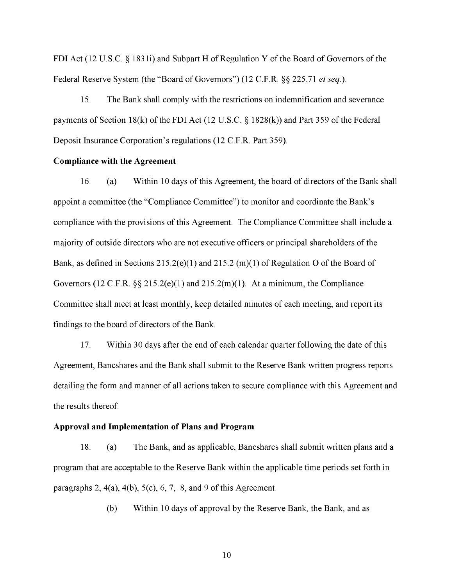FDI Act (12 U.S.C. § 1831i) and Subpart H of Regulation Y of the Board of Governors of the Federal Reserve System (the "Board of Governors") (12 C.F.R. §§ 225.71 *et seq.*).

15. The Bank shall comply with the restrictions on indemnification and severance payments of Section 18(k) of the FDI Act (12 U.S.C. § 1828(k)) and Part 359 of the Federal Deposit Insurance Corporation's regulations (12 C.F.R. Part 359).

#### **Compliance with the Agreement**

16. (a) Within 10 days of this Agreement, the board of directors of the Bank shall appoint a committee (the "Compliance Committee") to monitor and coordinate the Bank's compliance with the provisions of this Agreement. The Compliance Committee shall include a majority of outside directors who are not executive officers or principal shareholders of the Bank, as defined in Sections 215.2(e)(1) and 215.2 (m)(1) of Regulation O of the Board of Governors (12 C.F.R.  $\S$  215.2(e)(1) and 215.2(m)(1). At a minimum, the Compliance Committee shall meet at least monthly, keep detailed minutes of each meeting, and report its findings to the board of directors of the Bank.

17. Within 30 days after the end of each calendar quarter following the date of this Agreement, Bancshares and the Bank shall submit to the Reserve Bank written progress reports detailing the form and manner of all actions taken to secure compliance with this Agreement and the results thereof.

#### **Approval and Implementation of Plans and Program**

18. (a) The Bank, and as applicable, Bancshares shall submit written plans and a program that are acceptable to the Reserve Bank within the applicable time periods set forth in paragraphs 2,  $4(a)$ ,  $4(b)$ ,  $5(c)$ ,  $6$ ,  $7$ ,  $8$ , and  $9$  of this Agreement.

(b) Within 10 days of approval by the Reserve Bank, the Bank, and as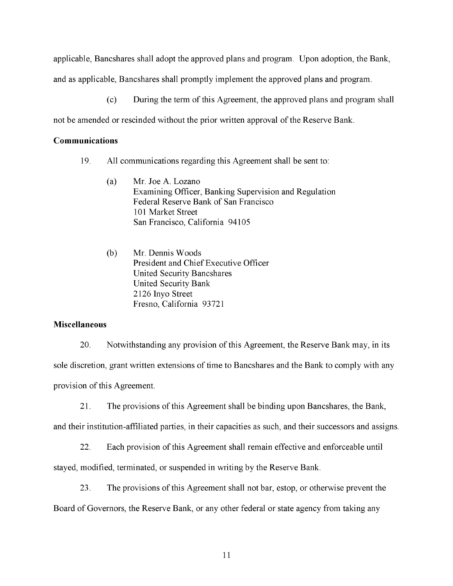applicable, Bancshares shall adopt the approved plans and program. Upon adoption, the Bank,

and as applicable, Bancshares shall promptly implement the approved plans and program.

(c) During the term of this Agreement, the approved plans and program shall

not be amended or rescinded without the prior written approval of the Reserve Bank.

## **Communications**

- 19. All communications regarding this Agreement shall be sent to:
	- (a) Mr. Joe A. Lozano Examining Officer, Banking Supervision and Regulation Federal Reserve Bank of San Francisco 101 Market Street San Francisco, California 94105
	- (b) Mr. Dennis Woods President and Chief Executive Officer United Security Bancshares United Security Bank 2126 Inyo Street Fresno, California 93721

# **Miscellaneous**

20. Notwithstanding any provision of this Agreement, the Reserve Bank may, in its sole discretion, grant written extensions of time to Bancshares and the Bank to comply with any provision of this Agreement.

21. The provisions of this Agreement shall be binding upon Bancshares, the Bank,

and their institution-affiliated parties, in their capacities as such, and their successors and assigns.

22. Each provision of this Agreement shall remain effective and enforceable until

stayed, modified, terminated, or suspended in writing by the Reserve Bank.

23. The provisions of this Agreement shall not bar, estop, or otherwise prevent the Board of Governors, the Reserve Bank, or any other federal or state agency from taking any